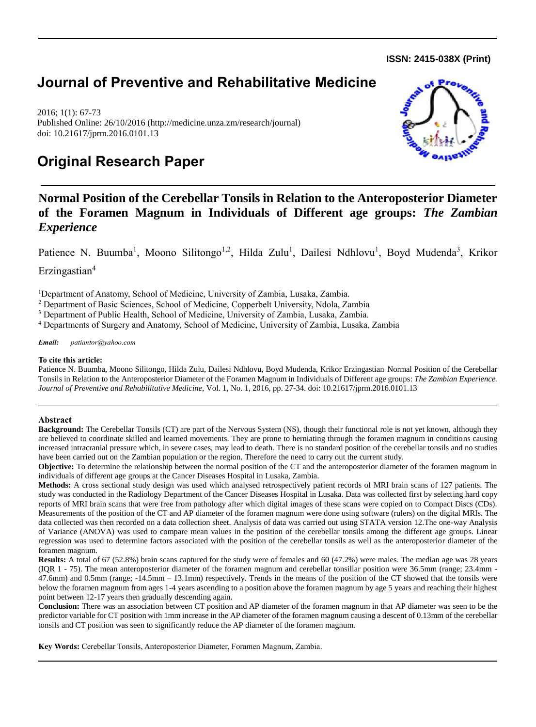**ISSN: 2415-038X (Print)** 

# **Journal of Preventive and Rehabilitative Medicine**

2016; 1(1): 67-73 Published Online: 26/10/2016 (http://medicine.unza.zm/research/journal) doi: 10.21617/jprm.2016.0101.13

# **Original Research Paper**



# **Normal Position of the Cerebellar Tonsils in Relation to the Anteroposterior Diameter of the Foramen Magnum in Individuals of Different age groups:** *The Zambian Experience*

Patience N. Buumba<sup>1</sup>, Moono Silitongo<sup>1,2</sup>, Hilda Zulu<sup>1</sup>, Dailesi Ndhlovu<sup>1</sup>, Boyd Mudenda<sup>3</sup>, Krikor

Erzingastian<sup>4</sup>

<sup>1</sup>Department of Anatomy, School of Medicine, University of Zambia, Lusaka, Zambia.

<sup>2</sup> Department of Basic Sciences, School of Medicine, Copperbelt University, Ndola, Zambia

<sup>3</sup> Department of Public Health, School of Medicine, University of Zambia, Lusaka, Zambia.

<sup>4</sup> Departments of Surgery and Anatomy, School of Medicine, University of Zambia, Lusaka, Zambia

*Email: patiantor@yahoo.com*

### **To cite this article:**

Patience N. Buumba, Moono Silitongo, Hilda Zulu, Dailesi Ndhlovu, Boyd Mudenda, Krikor Erzingastian. Normal Position of the Cerebellar Tonsils in Relation to the Anteroposterior Diameter of the Foramen Magnum in Individuals of Different age groups: *The Zambian Experience. Journal of Preventive and Rehabilitative Medicine,* Vol. 1, No. 1, 2016, pp. 27-34. doi: 10.21617/jprm.2016.0101.13

# **Abstract**

**Background:** The Cerebellar Tonsils (CT) are part of the Nervous System (NS), though their functional role is not yet known, although they are believed to coordinate skilled and learned movements. They are prone to herniating through the foramen magnum in conditions causing increased intracranial pressure which, in severe cases, may lead to death. There is no standard position of the cerebellar tonsils and no studies have been carried out on the Zambian population or the region. Therefore the need to carry out the current study.

**Objective:** To determine the relationship between the normal position of the CT and the anteroposterior diameter of the foramen magnum in individuals of different age groups at the Cancer Diseases Hospital in Lusaka, Zambia.

**Methods:** A cross sectional study design was used which analysed retrospectively patient records of MRI brain scans of 127 patients. The study was conducted in the Radiology Department of the Cancer Diseases Hospital in Lusaka. Data was collected first by selecting hard copy reports of MRI brain scans that were free from pathology after which digital images of these scans were copied on to Compact Discs (CDs). Measurements of the position of the CT and AP diameter of the foramen magnum were done using software (rulers) on the digital MRIs. The data collected was then recorded on a data collection sheet. Analysis of data was carried out using STATA version 12.The one-way Analysis of Variance (ANOVA) was used to compare mean values in the position of the cerebellar tonsils among the different age groups. Linear regression was used to determine factors associated with the position of the cerebellar tonsils as well as the anteroposterior diameter of the foramen magnum.

**Results:** A total of 67 (52.8%) brain scans captured for the study were of females and 60 (47.2%) were males. The median age was 28 years (IQR 1 - 75). The mean anteroposterior diameter of the foramen magnum and cerebellar tonsillar position were 36.5mm (range; 23.4mm - 47.6mm) and 0.5mm (range; -14.5mm – 13.1mm) respectively. Trends in the means of the position of the CT showed that the tonsils were below the foramen magnum from ages 1-4 years ascending to a position above the foramen magnum by age 5 years and reaching their highest point between 12-17 years then gradually descending again.

**Conclusion:** There was an association between CT position and AP diameter of the foramen magnum in that AP diameter was seen to be the predictor variable for CT position with 1mm increase in the AP diameter of the foramen magnum causing a descent of 0.13mm of the cerebellar tonsils and CT position was seen to significantly reduce the AP diameter of the foramen magnum.

**Key Words:** Cerebellar Tonsils, Anteroposterior Diameter, Foramen Magnum, Zambia.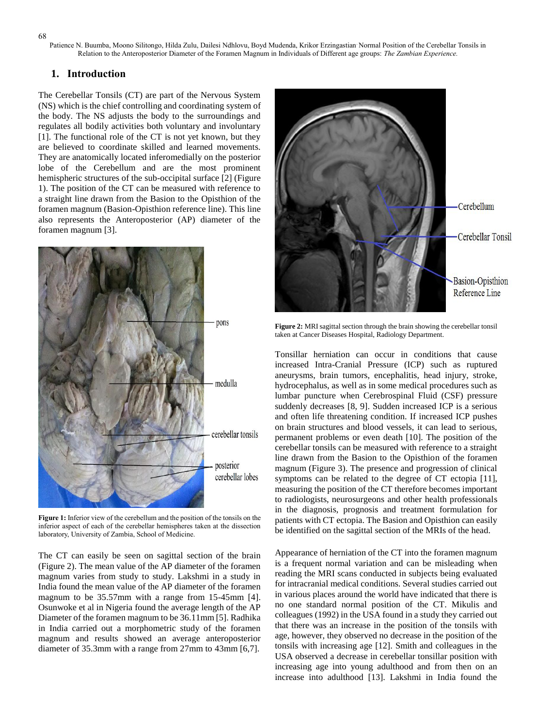Patience N. Buumba, Moono Silitongo, Hilda Zulu, Dailesi Ndhlovu, Boyd Mudenda, Krikor Erzingastian. Normal Position of the Cerebellar Tonsils in Relation to the Anteroposterior Diameter of the Foramen Magnum in Individuals of Different age groups: *The Zambian Experience.*

#### **1. Introduction**

The Cerebellar Tonsils (CT) are part of the Nervous System (NS) which is the chief controlling and coordinating system of the body. The NS adjusts the body to the surroundings and regulates all bodily activities both voluntary and involuntary [1]. The functional role of the CT is not yet known, but they are believed to coordinate skilled and learned movements. They are anatomically located inferomedially on the posterior lobe of the Cerebellum and are the most prominent hemispheric structures of the sub-occipital surface [2] (Figure 1). The position of the CT can be measured with reference to a straight line drawn from the Basion to the Opisthion of the foramen magnum (Basion-Opisthion reference line). This line also represents the Anteroposterior (AP) diameter of the foramen magnum [3].



**Figure 1:** Inferior view of the cerebellum and the position of the tonsils on the inferior aspect of each of the cerebellar hemispheres taken at the dissection laboratory, University of Zambia, School of Medicine.

The CT can easily be seen on sagittal section of the brain (Figure 2). The mean value of the AP diameter of the foramen magnum varies from study to study. Lakshmi in a study in India found the mean value of the AP diameter of the foramen magnum to be 35.57mm with a range from 15-45mm [4]. Osunwoke et al in Nigeria found the average length of the AP Diameter of the foramen magnum to be 36.11mm [5]. Radhika in India carried out a morphometric study of the foramen magnum and results showed an average anteroposterior diameter of 35.3mm with a range from 27mm to 43mm [6,7].



**Figure 2:** MRI sagittal section through the brain showing the cerebellar tonsil taken at Cancer Diseases Hospital, Radiology Department.

Tonsillar herniation can occur in conditions that cause increased Intra-Cranial Pressure (ICP) such as ruptured aneurysms, brain tumors, encephalitis, head injury, stroke, hydrocephalus, as well as in some medical procedures such as lumbar puncture when Cerebrospinal Fluid (CSF) pressure suddenly decreases [8, 9]. Sudden increased ICP is a serious and often life threatening condition. If increased ICP pushes on brain structures and blood vessels, it can lead to serious, permanent problems or even death [10]. The position of the cerebellar tonsils can be measured with reference to a straight line drawn from the Basion to the Opisthion of the foramen magnum (Figure 3). The presence and progression of clinical symptoms can be related to the degree of CT ectopia [11], measuring the position of the CT therefore becomes important to radiologists, neurosurgeons and other health professionals in the diagnosis, prognosis and treatment formulation for patients with CT ectopia. The Basion and Opisthion can easily be identified on the sagittal section of the MRIs of the head.

Appearance of herniation of the CT into the foramen magnum is a frequent normal variation and can be misleading when reading the MRI scans conducted in subjects being evaluated for intracranial medical conditions. Several studies carried out in various places around the world have indicated that there is no one standard normal position of the CT. Mikulis and colleagues (1992) in the USA found in a study they carried out that there was an increase in the position of the tonsils with age, however, they observed no decrease in the position of the tonsils with increasing age [12]. Smith and colleagues in the USA observed a decrease in cerebellar tonsillar position with increasing age into young adulthood and from then on an increase into adulthood [13]. Lakshmi in India found the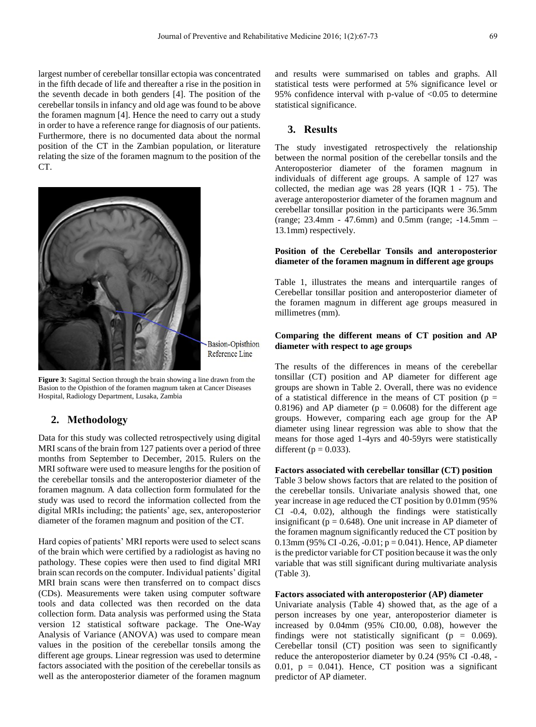largest number of cerebellar tonsillar ectopia was concentrated in the fifth decade of life and thereafter a rise in the position in the seventh decade in both genders [4]. The position of the cerebellar tonsils in infancy and old age was found to be above the foramen magnum [4]. Hence the need to carry out a study in order to have a reference range for diagnosis of our patients. Furthermore, there is no documented data about the normal position of the CT in the Zambian population, or literature relating the size of the foramen magnum to the position of the CT.



**Basion-Opisthion** Reference Line

**Figure 3:** Sagittal Section through the brain showing a line drawn from the Basion to the Opisthion of the foramen magnum taken at Cancer Diseases Hospital, Radiology Department, Lusaka, Zambia

#### **2. Methodology**

Data for this study was collected retrospectively using digital MRI scans of the brain from 127 patients over a period of three months from September to December, 2015. Rulers on the MRI software were used to measure lengths for the position of the cerebellar tonsils and the anteroposterior diameter of the foramen magnum. A data collection form formulated for the study was used to record the information collected from the digital MRIs including; the patients' age, sex, anteroposterior diameter of the foramen magnum and position of the CT.

Hard copies of patients' MRI reports were used to select scans of the brain which were certified by a radiologist as having no pathology. These copies were then used to find digital MRI brain scan records on the computer. Individual patients' digital MRI brain scans were then transferred on to compact discs (CDs). Measurements were taken using computer software tools and data collected was then recorded on the data collection form. Data analysis was performed using the Stata version 12 statistical software package. The One-Way Analysis of Variance (ANOVA) was used to compare mean values in the position of the cerebellar tonsils among the different age groups. Linear regression was used to determine factors associated with the position of the cerebellar tonsils as well as the anteroposterior diameter of the foramen magnum

and results were summarised on tables and graphs. All statistical tests were performed at 5% significance level or 95% confidence interval with p-value of <0.05 to determine statistical significance.

# **3. Results**

The study investigated retrospectively the relationship between the normal position of the cerebellar tonsils and the Anteroposterior diameter of the foramen magnum in individuals of different age groups. A sample of 127 was collected, the median age was 28 years (IQR 1 - 75). The average anteroposterior diameter of the foramen magnum and cerebellar tonsillar position in the participants were 36.5mm (range; 23.4mm - 47.6mm) and 0.5mm (range; -14.5mm – 13.1mm) respectively.

#### **Position of the Cerebellar Tonsils and anteroposterior diameter of the foramen magnum in different age groups**

Table 1, illustrates the means and interquartile ranges of Cerebellar tonsillar position and anteroposterior diameter of the foramen magnum in different age groups measured in millimetres (mm).

## **Comparing the different means of CT position and AP diameter with respect to age groups**

The results of the differences in means of the cerebellar tonsillar (CT) position and AP diameter for different age groups are shown in Table 2. Overall, there was no evidence of a statistical difference in the means of CT position ( $p =$ 0.8196) and AP diameter ( $p = 0.0608$ ) for the different age groups. However, comparing each age group for the AP diameter using linear regression was able to show that the means for those aged 1-4yrs and 40-59yrs were statistically different ( $p = 0.033$ ).

#### **Factors associated with cerebellar tonsillar (CT) position**

Table 3 below shows factors that are related to the position of the cerebellar tonsils. Univariate analysis showed that, one year increase in age reduced the CT position by 0.01mm (95% CI -0.4, 0.02), although the findings were statistically insignificant ( $p = 0.648$ ). One unit increase in AP diameter of the foramen magnum significantly reduced the CT position by 0.13mm (95% CI -0.26, -0.01;  $p = 0.041$ ). Hence, AP diameter is the predictor variable for CT position because it was the only variable that was still significant during multivariate analysis (Table 3).

#### **Factors associated with anteroposterior (AP) diameter**

Univariate analysis (Table 4) showed that, as the age of a person increases by one year, anteroposterior diameter is increased by 0.04mm (95% CI0.00, 0.08), however the findings were not statistically significant ( $p = 0.069$ ). Cerebellar tonsil (CT) position was seen to significantly reduce the anteroposterior diameter by 0.24 (95% CI -0.48, - 0.01,  $p = 0.041$ ). Hence, CT position was a significant predictor of AP diameter.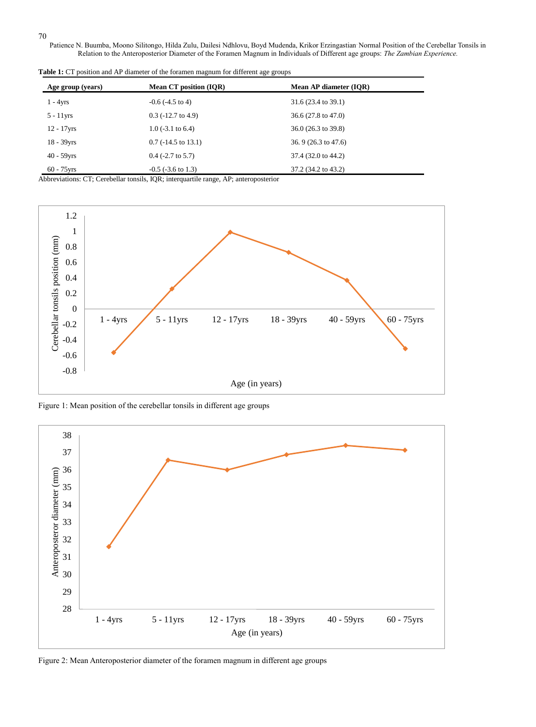Patience N. Buumba, Moono Silitongo, Hilda Zulu, Dailesi Ndhlovu, Boyd Mudenda, Krikor Erzingastian. Normal Position of the Cerebellar Tonsils in Relation to the Anteroposterior Diameter of the Foramen Magnum in Individuals of Different age groups: *The Zambian Experience.*

| Age group (years) | <b>Mean CT position (IQR)</b> | Mean AP diameter (IQR)         |
|-------------------|-------------------------------|--------------------------------|
| $1 - 4yrs$        | $-0.6$ ( $-4.5$ to 4)         | 31.6 (23.4 to 39.1)            |
| $5 - 11$ yrs      | $0.3$ (-12.7 to 4.9)          | $36.6(27.8 \text{ to } 47.0)$  |
| $12 - 17$ vrs     | 1.0 $(-3.1 \text{ to } 6.4)$  | $36.0(26.3 \text{ to } 39.8)$  |
| $18 - 39$ yrs     | $0.7$ (-14.5 to 13.1)         | 36.9 $(26.3 \text{ to } 47.6)$ |
| $40 - 59$ vrs     | $0.4$ (-2.7 to 5.7)           | 37.4 (32.0 to 44.2)            |
| $60 - 75$ vrs     | $-0.5$ ( $-3.6$ to 1.3)       | 37.2 (34.2 to 43.2)            |

Table 1: CT position and AP diameter of the foramen magnum for different age groups

Abbreviations: CT; Cerebellar tonsils, IQR; interquartile range, AP; anteroposterior



Figure 1: Mean position of the cerebellar tonsils in different age groups



Figure 2: Mean Anteroposterior diameter of the foramen magnum in different age groups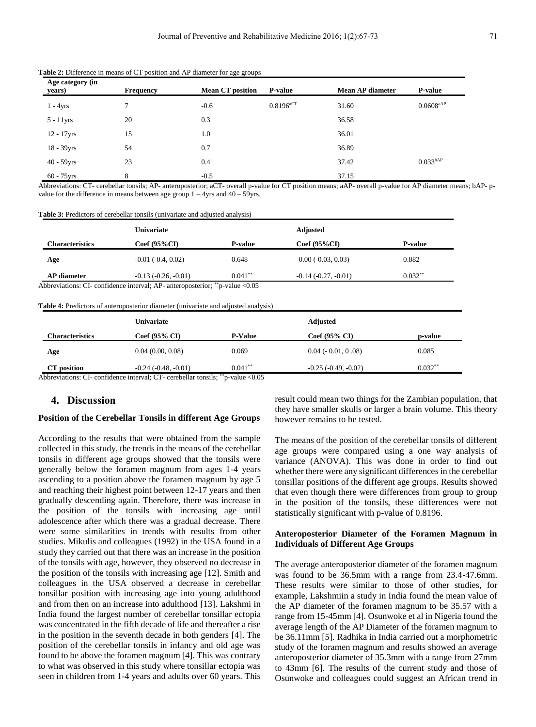| Age category (in<br>years) | <b>Frequency</b> | <b>Mean CT position</b> | <b>P-value</b>          | <b>Mean AP diameter</b> | <b>P-value</b>          |
|----------------------------|------------------|-------------------------|-------------------------|-------------------------|-------------------------|
| $1 - 4yrs$                 | $\tau$           | $-0.6$                  | $0.8196$ <sup>aCT</sup> | 31.60                   | $0.0608$ <sup>aAP</sup> |
| $5 - 11$ yrs               | 20               | 0.3                     |                         | 36.58                   |                         |
| $12 - 17$ yrs              | 15               | 1.0                     |                         | 36.01                   |                         |
| $18 - 39$ yrs              | 54               | 0.7                     |                         | 36.89                   |                         |
| $40 - 59$ yrs              | 23               | 0.4                     |                         | 37.42                   | 0.033 <sup>bAP</sup>    |
| $60 - 75$ yrs              | 8                | $-0.5$                  |                         | 37.15                   |                         |

**Table 2:** Difference in means of CT position and AP diameter for age groups

Abbreviations: CT- cerebellar tonsils; AP- anteroposterior; aCT- overall p-value for CT position means; aAP- overall p-value for AP diameter means; bAP- pvalue for the difference in means between age group  $1 - 4y$ rs and  $40 - 59y$ rs.

| Table 3: Predictors of cerebellar tonsils (univariate and adjusted analysis) |
|------------------------------------------------------------------------------|
|------------------------------------------------------------------------------|

|                        | Univariate             |                | <b>Adjusted</b>          |                |  |
|------------------------|------------------------|----------------|--------------------------|----------------|--|
| <b>Characteristics</b> | $Coef(95\%CI)$         | <b>P-value</b> | $Coef(95\%CI)$           | <b>P-value</b> |  |
| Age                    | $-0.01$ $(-0.4, 0.02)$ | 0.648          | $-0.00$ $(-0.03, 0.03)$  | 0.882          |  |
| AP diameter            | $-0.13(-0.26, -0.01)$  | $0.041***$     | $-0.14$ $(-0.27, -0.01)$ | $0.032**$      |  |

Abbreviations: CI- confidence interval; AP- anteroposterior; \*\*p-value <0.05

**Table 4:** Predictors of anteroposterior diameter (univariate and adjusted analysis)

|                                | Univariate                   |                           |                          |           |
|--------------------------------|------------------------------|---------------------------|--------------------------|-----------|
| <b>Characteristics</b>         | $Coef(95\% CI)$              | <b>P-Value</b>            | Coef $(95\% \text{ CI})$ | p-value   |
| Age                            | 0.04(0.00, 0.08)             | 0.069                     | $0.04 (-0.01, 0.08)$     | 0.085     |
| CT position                    | $-0.24$ $(-0.48, -0.01)$     | $0.041**$                 | $-0.25$ $(-0.49, -0.02)$ | $0.032**$ |
| $\sim$ 1<br>$\cdots$<br>$\sim$ | 1.11<br>$\sim$ $\sim$ $\sim$ | **<br>$\cdot$<br>$\Omega$ |                          |           |

Abbreviations: CI- confidence interval; CT- cerebellar tonsils; \*\*p-value <0.05

## **4. Discussion**

#### **Position of the Cerebellar Tonsils in different Age Groups**

According to the results that were obtained from the sample collected in this study, the trends in the means of the cerebellar tonsils in different age groups showed that the tonsils were generally below the foramen magnum from ages 1-4 years ascending to a position above the foramen magnum by age 5 and reaching their highest point between 12-17 years and then gradually descending again. Therefore, there was increase in the position of the tonsils with increasing age until adolescence after which there was a gradual decrease. There were some similarities in trends with results from other studies. Mikulis and colleagues (1992) in the USA found in a study they carried out that there was an increase in the position of the tonsils with age, however, they observed no decrease in the position of the tonsils with increasing age [12]. Smith and colleagues in the USA observed a decrease in cerebellar tonsillar position with increasing age into young adulthood and from then on an increase into adulthood [13]. Lakshmi in India found the largest number of cerebellar tonsillar ectopia was concentrated in the fifth decade of life and thereafter a rise in the position in the seventh decade in both genders [4]. The position of the cerebellar tonsils in infancy and old age was found to be above the foramen magnum [4]. This was contrary to what was observed in this study where tonsillar ectopia was seen in children from 1-4 years and adults over 60 years. This

result could mean two things for the Zambian population, that they have smaller skulls or larger a brain volume. This theory however remains to be tested.

The means of the position of the cerebellar tonsils of different age groups were compared using a one way analysis of variance (ANOVA). This was done in order to find out whether there were any significant differences in the cerebellar tonsillar positions of the different age groups. Results showed that even though there were differences from group to group in the position of the tonsils, these differences were not statistically significant with p-value of 0.8196.

#### **Anteroposterior Diameter of the Foramen Magnum in Individuals of Different Age Groups**

The average anteroposterior diameter of the foramen magnum was found to be 36.5mm with a range from 23.4-47.6mm. These results were similar to those of other studies, for example, Lakshmiin a study in India found the mean value of the AP diameter of the foramen magnum to be 35.57 with a range from 15-45mm [4]. Osunwoke et al in Nigeria found the average length of the AP Diameter of the foramen magnum to be 36.11mm [5]. Radhika in India carried out a morphometric study of the foramen magnum and results showed an average anteroposterior diameter of 35.3mm with a range from 27mm to 43mm [6]. The results of the current study and those of Osunwoke and colleagues could suggest an African trend in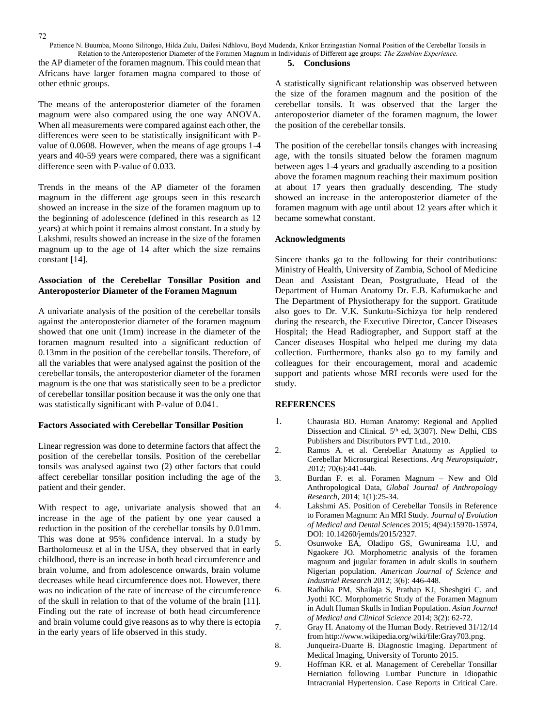Patience N. Buumba, Moono Silitongo, Hilda Zulu, Dailesi Ndhlovu, Boyd Mudenda, Krikor Erzingastian. Normal Position of the Cerebellar Tonsils in Relation to the Anteroposterior Diameter of the Foramen Magnum in Individuals of Different age groups: *The Zambian Experience.*

the AP diameter of the foramen magnum. This could mean that Africans have larger foramen magna compared to those of other ethnic groups.

The means of the anteroposterior diameter of the foramen magnum were also compared using the one way ANOVA. When all measurements were compared against each other, the differences were seen to be statistically insignificant with Pvalue of 0.0608. However, when the means of age groups 1-4 years and 40-59 years were compared, there was a significant difference seen with P-value of 0.033.

Trends in the means of the AP diameter of the foramen magnum in the different age groups seen in this research showed an increase in the size of the foramen magnum up to the beginning of adolescence (defined in this research as 12 years) at which point it remains almost constant. In a study by Lakshmi, results showed an increase in the size of the foramen magnum up to the age of 14 after which the size remains constant [14].

# **Association of the Cerebellar Tonsillar Position and Anteroposterior Diameter of the Foramen Magnum**

A univariate analysis of the position of the cerebellar tonsils against the anteroposterior diameter of the foramen magnum showed that one unit (1mm) increase in the diameter of the foramen magnum resulted into a significant reduction of 0.13mm in the position of the cerebellar tonsils. Therefore, of all the variables that were analysed against the position of the cerebellar tonsils, the anteroposterior diameter of the foramen magnum is the one that was statistically seen to be a predictor of cerebellar tonsillar position because it was the only one that was statistically significant with P-value of 0.041.

#### **Factors Associated with Cerebellar Tonsillar Position**

Linear regression was done to determine factors that affect the position of the cerebellar tonsils. Position of the cerebellar tonsils was analysed against two (2) other factors that could affect cerebellar tonsillar position including the age of the patient and their gender.

With respect to age, univariate analysis showed that an increase in the age of the patient by one year caused a reduction in the position of the cerebellar tonsils by 0.01mm. This was done at 95% confidence interval. In a study by Bartholomeusz et al in the USA, they observed that in early childhood, there is an increase in both head circumference and brain volume, and from adolescence onwards, brain volume decreases while head circumference does not. However, there was no indication of the rate of increase of the circumference of the skull in relation to that of the volume of the brain [11]. Finding out the rate of increase of both head circumference and brain volume could give reasons as to why there is ectopia in the early years of life observed in this study.

#### **5. Conclusions**

A statistically significant relationship was observed between the size of the foramen magnum and the position of the cerebellar tonsils. It was observed that the larger the anteroposterior diameter of the foramen magnum, the lower the position of the cerebellar tonsils.

The position of the cerebellar tonsils changes with increasing age, with the tonsils situated below the foramen magnum between ages 1-4 years and gradually ascending to a position above the foramen magnum reaching their maximum position at about 17 years then gradually descending. The study showed an increase in the anteroposterior diameter of the foramen magnum with age until about 12 years after which it became somewhat constant.

#### **Acknowledgments**

Sincere thanks go to the following for their contributions: Ministry of Health, University of Zambia, School of Medicine Dean and Assistant Dean, Postgraduate, Head of the Department of Human Anatomy Dr. E.B. Kafumukache and The Department of Physiotherapy for the support. Gratitude also goes to Dr. V.K. Sunkutu-Sichizya for help rendered during the research, the Executive Director, Cancer Diseases Hospital; the Head Radiographer, and Support staff at the Cancer diseases Hospital who helped me during my data collection. Furthermore, thanks also go to my family and colleagues for their encouragement, moral and academic support and patients whose MRI records were used for the study.

#### **REFERENCES**

- 1. Chaurasia BD. Human Anatomy: Regional and Applied Dissection and Clinical. 5<sup>th</sup> ed, 3(307). New Delhi, CBS Publishers and Distributors PVT Ltd., 2010.
- 2. Ramos A. et al. Cerebellar Anatomy as Applied to Cerebellar Microsurgical Resections. *Arq Neuropsiquiatr*, 2012; 70(6):441-446.
- 3. Burdan F. et al. Foramen Magnum New and Old Anthropological Data, *Global Journal of Anthropology Research,* 2014; 1(1):25-34.
- 4. Lakshmi AS. Position of Cerebellar Tonsils in Reference to Foramen Magnum: An MRI Study. *Journal of Evolution of Medical and Dental Sciences* 2015; 4(94):15970-15974, DOI: 10.14260/jemds/2015/2327.
- 5. Osunwoke EA, Oladipo GS, Gwunireama I.U, and Ngaokere JO. Morphometric analysis of the foramen magnum and jugular foramen in adult skulls in southern Nigerian population. *American Journal of Science and Industrial Research* 2012; 3(6): 446-448.
- 6. Radhika PM, Shailaja S, Prathap KJ, Sheshgiri C, and Jyothi KC. Morphometric Study of the Foramen Magnum in Adult Human Skulls in Indian Population. *Asian Journal of Medical and Clinical Science* 2014; 3(2): 62-72.
- 7. Gray H. Anatomy of the Human Body. Retrieved 31/12/14 from http://www.wikipedia.org/wiki/file:Gray703.png.
- 8. Junqueira-Duarte B. Diagnostic Imaging. Department of Medical Imaging, University of Toronto 2015.
- 9. Hoffman KR. et al. Management of Cerebellar Tonsillar Herniation following Lumbar Puncture in Idiopathic Intracranial Hypertension. Case Reports in Critical Care.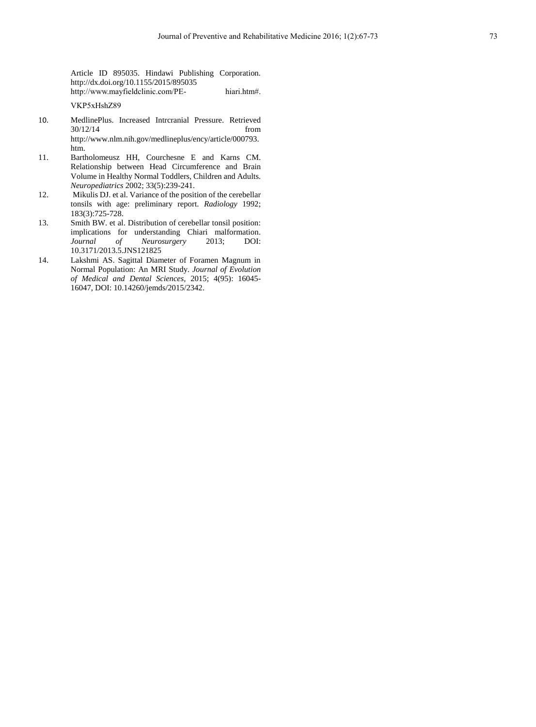Article ID 895035. Hindawi Publishing Corporation. <http://dx.doi.org/10.1155/2015/895035> [http://www.mayfieldclinic.com/PE-](http://www.mayfieldclinic.com/PE-%20hiari.htm#. VKP5xHshZ89) hiari.htm#.

[VKP5xHshZ89](http://www.mayfieldclinic.com/PE-%20hiari.htm#. VKP5xHshZ89)

- 10. MedlinePlus. Increased Intrcranial Pressure. Retrieved  $30/12/14$ [http://www.nlm.nih.gov/medlineplus/ency/article/000793.](http://www.nlm.nih.gov/medlineplus/ency/article/000793.htm) [htm.](http://www.nlm.nih.gov/medlineplus/ency/article/000793.htm)
- 11. Bartholomeusz HH, Courchesne E and Karns CM. Relationship between Head Circumference and Brain Volume in Healthy Normal Toddlers, Children and Adults. *Neuropediatrics* 2002; 33(5):239-241.
- 12. Mikulis DJ. et al. Variance of the position of the cerebellar tonsils with age: preliminary report. *Radiology* 1992; 183(3):725-728.
- 13. Smith BW. et al. Distribution of cerebellar tonsil position: implications for understanding Chiari malformation. *Journal of Neurosurgery* 2013; DOI: 10.3171/2013.5.JNS121825
- 14. Lakshmi AS. Sagittal Diameter of Foramen Magnum in Normal Population: An MRI Study. *Journal of Evolution of Medical and Dental Sciences,* 2015; 4(95): 16045- 16047, DOI: 10.14260/jemds/2015/2342.